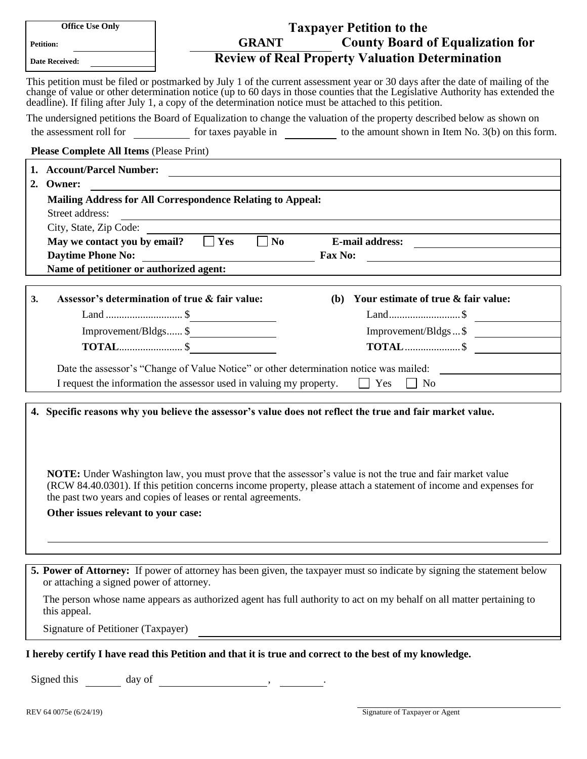| <b>Office Use Only</b>                                                                                                                                                                                                                                                                                                                                                                                                                                      | <b>Taxpayer Petition to the</b>                                                                                                                                                                                                                                                                                                                                              |  |
|-------------------------------------------------------------------------------------------------------------------------------------------------------------------------------------------------------------------------------------------------------------------------------------------------------------------------------------------------------------------------------------------------------------------------------------------------------------|------------------------------------------------------------------------------------------------------------------------------------------------------------------------------------------------------------------------------------------------------------------------------------------------------------------------------------------------------------------------------|--|
| <b>Petition:</b>                                                                                                                                                                                                                                                                                                                                                                                                                                            | <b>County Board of Equalization for</b><br><b>GRANT</b>                                                                                                                                                                                                                                                                                                                      |  |
| Date Received:                                                                                                                                                                                                                                                                                                                                                                                                                                              | <b>Review of Real Property Valuation Determination</b>                                                                                                                                                                                                                                                                                                                       |  |
|                                                                                                                                                                                                                                                                                                                                                                                                                                                             | This petition must be filed or postmarked by July 1 of the current assessment year or 30 days after the date of mailing of the<br>change of value or other determination notice (up to 60 days in those counties that the Legislative Authority has extended the<br>deadline). If filing after July 1, a copy of the determination notice must be attached to this petition. |  |
| The undersigned petitions the Board of Equalization to change the valuation of the property described below as shown on                                                                                                                                                                                                                                                                                                                                     |                                                                                                                                                                                                                                                                                                                                                                              |  |
| the assessment roll for <u>contact of</u> for taxes payable in <u>contact to the amount shown in Item No. 3(b) on this form.</u>                                                                                                                                                                                                                                                                                                                            |                                                                                                                                                                                                                                                                                                                                                                              |  |
| <b>Please Complete All Items (Please Print)</b>                                                                                                                                                                                                                                                                                                                                                                                                             |                                                                                                                                                                                                                                                                                                                                                                              |  |
| 1. Account/Parcel Number:<br><u> 1989 - Johann Harry Harry Harry Harry Harry Harry Harry Harry Harry Harry Harry Harry Harry Harry Harry Harry</u>                                                                                                                                                                                                                                                                                                          |                                                                                                                                                                                                                                                                                                                                                                              |  |
| 2. Owner:                                                                                                                                                                                                                                                                                                                                                                                                                                                   |                                                                                                                                                                                                                                                                                                                                                                              |  |
| <b>Mailing Address for All Correspondence Relating to Appeal:</b>                                                                                                                                                                                                                                                                                                                                                                                           |                                                                                                                                                                                                                                                                                                                                                                              |  |
| Street address:                                                                                                                                                                                                                                                                                                                                                                                                                                             |                                                                                                                                                                                                                                                                                                                                                                              |  |
| City, State, Zip Code:                                                                                                                                                                                                                                                                                                                                                                                                                                      |                                                                                                                                                                                                                                                                                                                                                                              |  |
| May we contact you by email? $\Box$ Yes                                                                                                                                                                                                                                                                                                                                                                                                                     | $\Box$ No E-mail address:                                                                                                                                                                                                                                                                                                                                                    |  |
|                                                                                                                                                                                                                                                                                                                                                                                                                                                             |                                                                                                                                                                                                                                                                                                                                                                              |  |
|                                                                                                                                                                                                                                                                                                                                                                                                                                                             | Name of petitioner or authorized agent:                                                                                                                                                                                                                                                                                                                                      |  |
|                                                                                                                                                                                                                                                                                                                                                                                                                                                             | Assessor's determination of true & fair value:<br>(b) Your estimate of true & fair value:                                                                                                                                                                                                                                                                                    |  |
| 3.                                                                                                                                                                                                                                                                                                                                                                                                                                                          |                                                                                                                                                                                                                                                                                                                                                                              |  |
|                                                                                                                                                                                                                                                                                                                                                                                                                                                             |                                                                                                                                                                                                                                                                                                                                                                              |  |
|                                                                                                                                                                                                                                                                                                                                                                                                                                                             | Improvement/Bldgs \$<br>Improvement/Bldgs  \$                                                                                                                                                                                                                                                                                                                                |  |
|                                                                                                                                                                                                                                                                                                                                                                                                                                                             |                                                                                                                                                                                                                                                                                                                                                                              |  |
| Date the assessor's "Change of Value Notice" or other determination notice was mailed:                                                                                                                                                                                                                                                                                                                                                                      |                                                                                                                                                                                                                                                                                                                                                                              |  |
| I request the information the assessor used in valuing my property.<br>$\Box$ Yes $\Box$ No                                                                                                                                                                                                                                                                                                                                                                 |                                                                                                                                                                                                                                                                                                                                                                              |  |
| 4. Specific reasons why you believe the assessor's value does not reflect the true and fair market value.<br><b>NOTE:</b> Under Washington law, you must prove that the assessor's value is not the true and fair market value<br>(RCW 84.40.0301). If this petition concerns income property, please attach a statement of income and expenses for<br>the past two years and copies of leases or rental agreements.<br>Other issues relevant to your case: |                                                                                                                                                                                                                                                                                                                                                                              |  |
|                                                                                                                                                                                                                                                                                                                                                                                                                                                             |                                                                                                                                                                                                                                                                                                                                                                              |  |
| or attaching a signed power of attorney.                                                                                                                                                                                                                                                                                                                                                                                                                    | 5. Power of Attorney: If power of attorney has been given, the taxpayer must so indicate by signing the statement below                                                                                                                                                                                                                                                      |  |
| The person whose name appears as authorized agent has full authority to act on my behalf on all matter pertaining to<br>this appeal.                                                                                                                                                                                                                                                                                                                        |                                                                                                                                                                                                                                                                                                                                                                              |  |
| Signature of Petitioner (Taxpayer)                                                                                                                                                                                                                                                                                                                                                                                                                          |                                                                                                                                                                                                                                                                                                                                                                              |  |
|                                                                                                                                                                                                                                                                                                                                                                                                                                                             | I hereby certify I have read this Petition and that it is true and correct to the best of my knowledge.                                                                                                                                                                                                                                                                      |  |
|                                                                                                                                                                                                                                                                                                                                                                                                                                                             |                                                                                                                                                                                                                                                                                                                                                                              |  |
| Signed this<br>day of                                                                                                                                                                                                                                                                                                                                                                                                                                       |                                                                                                                                                                                                                                                                                                                                                                              |  |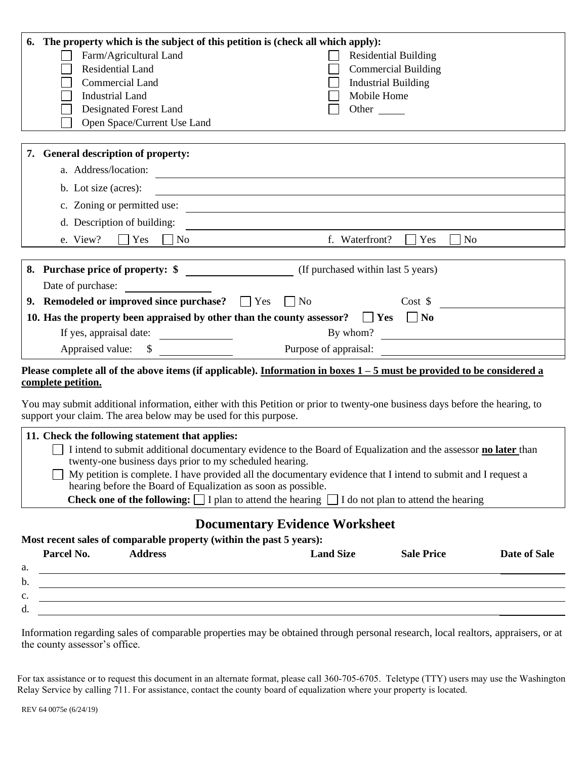| The property which is the subject of this petition is (check all which apply):<br>6.                                                                                                                                                                                                                |                                                                                                                      |  |  |
|-----------------------------------------------------------------------------------------------------------------------------------------------------------------------------------------------------------------------------------------------------------------------------------------------------|----------------------------------------------------------------------------------------------------------------------|--|--|
| Farm/Agricultural Land                                                                                                                                                                                                                                                                              | <b>Residential Building</b>                                                                                          |  |  |
| Residential Land                                                                                                                                                                                                                                                                                    | <b>Commercial Building</b>                                                                                           |  |  |
| Commercial Land                                                                                                                                                                                                                                                                                     | <b>Industrial Building</b>                                                                                           |  |  |
| <b>Industrial Land</b>                                                                                                                                                                                                                                                                              | Mobile Home                                                                                                          |  |  |
| Designated Forest Land                                                                                                                                                                                                                                                                              | Other                                                                                                                |  |  |
| Open Space/Current Use Land                                                                                                                                                                                                                                                                         |                                                                                                                      |  |  |
| 7. General description of property:                                                                                                                                                                                                                                                                 |                                                                                                                      |  |  |
| a. Address/location:<br><u> 1989 - Johann Stoff, deutscher Stoffen und der Stoffen und der Stoffen und der Stoffen und der Stoffen und der</u>                                                                                                                                                      |                                                                                                                      |  |  |
| b. Lot size (acres):<br><u> 1989 - Johann Barn, mars ann an t-Amhain Aonaich an t-Aonaich an t-Aonaich an t-Aonaich an t-Aonaich an t-Aon</u>                                                                                                                                                       |                                                                                                                      |  |  |
| c. Zoning or permitted use:                                                                                                                                                                                                                                                                         | <u> 1989 - Johann Barn, mars eta bainar eta bainar eta baina eta baina eta baina eta baina eta baina eta baina e</u> |  |  |
| d. Description of building:                                                                                                                                                                                                                                                                         |                                                                                                                      |  |  |
| e. View?<br>Yes<br>No                                                                                                                                                                                                                                                                               | f. Waterfront?<br>Yes<br>N <sub>o</sub>                                                                              |  |  |
|                                                                                                                                                                                                                                                                                                     |                                                                                                                      |  |  |
|                                                                                                                                                                                                                                                                                                     |                                                                                                                      |  |  |
| Date of purchase:                                                                                                                                                                                                                                                                                   |                                                                                                                      |  |  |
| 9. Remodeled or improved since purchase? $\Box$ Yes<br>$\overline{\phantom{a}}$ No<br>$Cost$ \$                                                                                                                                                                                                     |                                                                                                                      |  |  |
| 10. Has the property been appraised by other than the county assessor?                                                                                                                                                                                                                              | $\vert$   Yes<br>$\vert$   No                                                                                        |  |  |
| If yes, appraisal date:                                                                                                                                                                                                                                                                             | By whom?                                                                                                             |  |  |
| Appraised value:<br>$\sim$                                                                                                                                                                                                                                                                          | Purpose of appraisal:                                                                                                |  |  |
| Please complete all of the above items (if applicable). Information in boxes $1-5$ must be provided to be considered a<br>complete petition.                                                                                                                                                        |                                                                                                                      |  |  |
| You may submit additional information, either with this Petition or prior to twenty-one business days before the hearing, to<br>support your claim. The area below may be used for this purpose.                                                                                                    |                                                                                                                      |  |  |
| 11. Check the following statement that applies:<br>I intend to submit additional documentary evidence to the Board of Equalization and the assessor no later than<br>twenty-one business days prior to my scheduled hearing.                                                                        |                                                                                                                      |  |  |
| My petition is complete. I have provided all the documentary evidence that I intend to submit and I request a<br>hearing before the Board of Equalization as soon as possible.<br><b>Check one of the following:</b> $\Box$ I plan to attend the hearing $\Box$ I do not plan to attend the hearing |                                                                                                                      |  |  |
|                                                                                                                                                                                                                                                                                                     |                                                                                                                      |  |  |
| <b>Documentary Evidence Worksheet</b><br>Most recent sales of comparable property (within the past 5 years):                                                                                                                                                                                        |                                                                                                                      |  |  |
| Parcel No.<br><b>Address</b>                                                                                                                                                                                                                                                                        | <b>Land Size</b><br>Date of Sale<br><b>Sale Price</b>                                                                |  |  |
| a.<br><u> 1989 - Johann Stoff, Amerikaansk politiker († 1908)</u>                                                                                                                                                                                                                                   |                                                                                                                      |  |  |
| b.                                                                                                                                                                                                                                                                                                  | <u> 1989 - Johann Stoff, amerikansk politiker (d. 1989)</u>                                                          |  |  |
| c.                                                                                                                                                                                                                                                                                                  |                                                                                                                      |  |  |
| d.                                                                                                                                                                                                                                                                                                  |                                                                                                                      |  |  |

Information regarding sales of comparable properties may be obtained through personal research, local realtors, appraisers, or at the county assessor's office.

For tax assistance or to request this document in an alternate format, please call 360-705-6705. Teletype (TTY) users may use the Washington Relay Service by calling 711. For assistance, contact the county board of equalization where your property is located.